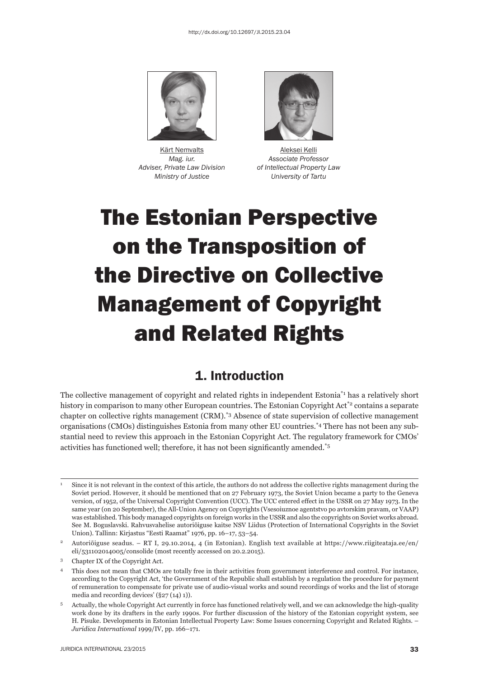

Kärt Nemvalts **Aleksei Kelli**  *Adviser, Private Law Division of Intellectual Property Law*



*Mag. iur. Associate Professor Ministry of Justice University of Tartu*

# The Estonian Perspective on the Transposition of the Directive on Collective Management of Copyright and Related Rights

### 1. Introduction

The collective management of copyright and related rights in independent Estonia\*1 has a relatively short history in comparison to many other European countries. The Estonian Copyright Act<sup>\*2</sup> contains a separate chapter on collective rights management (CRM).\*3 Absence of state supervision of collective management organisations (CMOs) distinguishes Estonia from many other EU countries.\*4 There has not been any substantial need to review this approach in the Estonian Copyright Act. The regulatory framework for CMOs' activities has functioned well; therefore, it has not been significantly amended.<sup>\*5</sup>

<sup>1</sup> Since it is not relevant in the context of this article, the authors do not address the collective rights management during the Soviet period. However, it should be mentioned that on 27 February 1973, the Soviet Union became a party to the Geneva version, of 1952, of the Universal Copyright Convention (UCC). The UCC entered effect in the USSR on 27 May 1973. In the same year (on 20 September), the All-Union Agency on Copyrights (Vsesoiuznoe agentstvo po avtorskim pravam, or VAAP) was established. This body managed copyrights on foreign works in the USSR and also the copyrights on Soviet works abroad. See M. Boguslavski. Rahvusvahelise autoriõiguse kaitse NSV Liidus (Protection of International Copyrights in the Soviet Union). Tallinn: Kirjastus "Eesti Raamat" 1976, pp. 16–17, 53–54.

<sup>2</sup> Autoriõiguse seadus. – RT I, 29.10.2014, 4 (in Estonian). English text available at https://www.riigiteataja.ee/en/ eli/531102014005/consolide (most recently accessed on 20.2.2015).

<sup>3</sup> Chapter IX of the Copyright Act.

<sup>4</sup> This does not mean that CMOs are totally free in their activities from government interference and control. For instance, according to the Copyright Act, 'the Government of the Republic shall establish by a regulation the procedure for payment of remuneration to compensate for private use of audio-visual works and sound recordings of works and the list of storage media and recording devices' (§27 (14) 1)).

<sup>5</sup> Actually, the whole Copyright Act currently in force has functioned relatively well, and we can acknowledge the high-quality work done by its drafters in the early 1990s. For further discussion of the history of the Estonian copyright system, see H. Pisuke. Developments in Estonian Intellectual Property Law: Some Issues concerning Copyright and Related Rights. – *Juridica International* 1999/IV, pp. 166–171.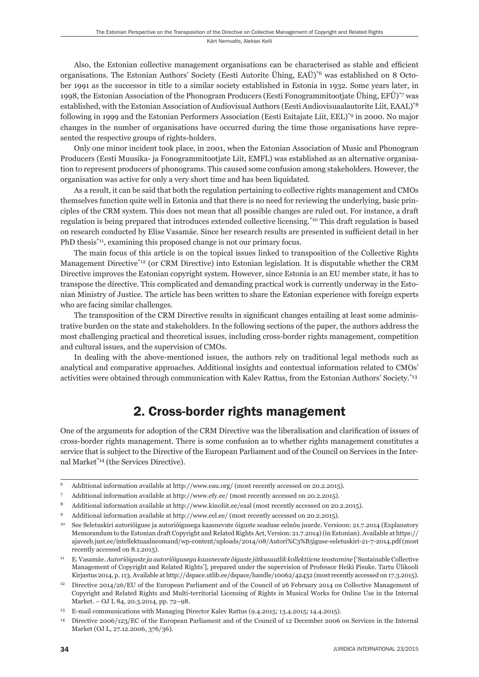Also, the Estonian collective management organisations can be characterised as stable and efficient organisations. The Estonian Authors' Society (Eesti Autorite Ühing, EAÜ)\*6 was established on 8 October 1991 as the successor in title to a similar society established in Estonia in 1932. Some years later, in 1998, the Estonian Association of the Phonogram Producers (Eesti Fonogrammitootjate Ühing, EFÜ)\*7 was established, with the Estonian Association of Audiovisual Authors (Eesti Audiovisuaalautorite Liit, EAAL)\*8 following in 1999 and the Estonian Performers Association (Eesti Esitajate Liit, EEL)\*9 in 2000. No major changes in the number of organisations have occurred during the time those organisations have represented the respective groups of rights-holders.

Only one minor incident took place, in 2001, when the Estonian Association of Music and Phonogram Producers (Eesti Muusika- ja Fonogrammitootjate Liit, EMFL) was established as an alternative organisation to represent producers of phonograms. This caused some confusion among stakeholders. However, the organisation was active for only a very short time and has been liquidated.

As a result, it can be said that both the regulation pertaining to collective rights management and CMOs themselves function quite well in Estonia and that there is no need for reviewing the underlying, basic principles of the CRM system. This does not mean that all possible changes are ruled out. For instance, a draft regulation is being prepared that introduces extended collective licensing.\*10 This draft regulation is based on research conducted by Elise Vasamäe. Since her research results are presented in sufficient detail in her PhD thesis<sup>\*11</sup>, examining this proposed change is not our primary focus.

The main focus of this article is on the topical issues linked to transposition of the Collective Rights Management Directive\*12 (or CRM Directive) into Estonian legislation. It is disputable whether the CRM Directive improves the Estonian copyright system. However, since Estonia is an EU member state, it has to transpose the directive. This complicated and demanding practical work is currently underway in the Estonian Ministry of Justice. The article has been written to share the Estonian experience with foreign experts who are facing similar challenges.

The transposition of the CRM Directive results in significant changes entailing at least some administrative burden on the state and stakeholders. In the following sections of the paper, the authors address the most challenging practical and theoretical issues, including cross-border rights management, competition and cultural issues, and the supervision of CMOs.

In dealing with the above-mentioned issues, the authors rely on traditional legal methods such as analytical and comparative approaches. Additional insights and contextual information related to CMOs' activities were obtained through communication with Kalev Rattus, from the Estonian Authors' Society.\*13

## 2. Cross-border rights management

One of the arguments for adoption of the CRM Directive was the liberalisation and clarification of issues of cross-border rights management. There is some confusion as to whether rights management constitutes a service that is subject to the Directive of the European Parliament and of the Council on Services in the Internal Market\*14 (the Services Directive).

<sup>6</sup> Additional information available at http://www.eau.org/ (most recently accessed on 20.2.2015).

<sup>7</sup> Additional information available at http://www.efy.ee/ (most recently accessed on 20.2.2015).

<sup>8</sup> Additional information available at http://www.kinoliit.ee/eaal (most recently accessed on 20.2.2015).

<sup>9</sup> Additional information available at http://www.eel.ee/ (most recently accessed on 20.2.2015).

<sup>10</sup> See Seletuskiri autoriõiguse ja autoriõigusega kaasnevate õiguste seaduse eelnõu juurde. Versioon: 21.7.2014 (Explanatory Memorandum to the Estonian draft Copyright and Related Rights Act, Version: 21.7.2014) (in Estonian). Available at https:// ajaveeb.just.ee/intellektuaalneomand/wp-content/uploads/2014/08/Autori%C3%B5iguse-seletuskiri-21-7-2014.pdf (most recently accessed on 8.1.2015).

<sup>11</sup> E. Vasamäe. *Autoriõiguste ja autoriõigusega kaasnevate õiguste jätkusuutlik kollektiivne teostamine* ['Sustainable Collective Management of Copyright and Related Rights'], prepared under the supervision of Professor Heiki Pisuke. Tartu Ülikooli Kirjastus 2014, p. 113. Available at http://dspace.utlib.ee/dspace/handle/10062/42432 (most recently accessed on 17.3.2015).

<sup>&</sup>lt;sup>12</sup> Directive 2014/26/EU of the European Parliament and of the Council of 26 February 2014 on Collective Management of Copyright and Related Rights and Multi-territorial Licensing of Rights in Musical Works for Online Use in the Internal Market. – OJ L 84, 20.3.2014, pp. 72–98.

<sup>13</sup> E-mail communications with Managing Director Kalev Rattus (9.4.2015; 13.4.2015; 14.4.2015).

<sup>14</sup> Directive 2006/123/EC of the European Parliament and of the Council of 12 December 2006 on Services in the Internal Market (OJ L, 27.12.2006, 376/36).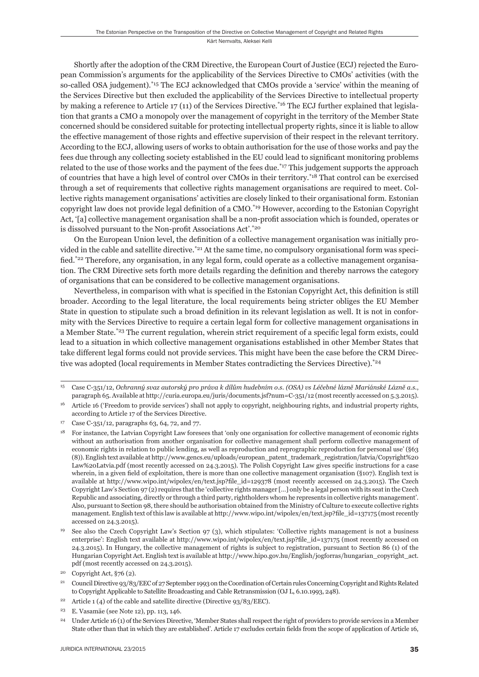Shortly after the adoption of the CRM Directive, the European Court of Justice (ECJ) rejected the European Commission's arguments for the applicability of the Services Directive to CMOs' activities (with the so-called OSA judgement).\*15 The ECJ acknowledged that CMOs provide a 'service' within the meaning of the Services Directive but then excluded the applicability of the Services Directive to intellectual property by making a reference to Article 17 (11) of the Services Directive.\*16 The ECJ further explained that legislation that grants a CMO a monopoly over the management of copyright in the territory of the Member State concerned should be considered suitable for protecting intellectual property rights, since it is liable to allow the effective management of those rights and effective supervision of their respect in the relevant territory. According to the ECJ, allowing users of works to obtain authorisation for the use of those works and pay the fees due through any collecting society established in the EU could lead to significant monitoring problems related to the use of those works and the payment of the fees due.<sup>\*17</sup> This judgement supports the approach of countries that have a high level of control over CMOs in their territory.\*18 That control can be exercised through a set of requirements that collective rights management organisations are required to meet. Collective rights management organisations' activities are closely linked to their organisational form. Estonian copyright law does not provide legal definition of a CMO.<sup>\*19</sup> However, according to the Estonian Copyright Act, '[a] collective management organisation shall be a non-profi t association which is founded, operates or is dissolved pursuant to the Non-profit Associations Act'.\*20

On the European Union level, the definition of a collective management organisation was initially provided in the cable and satellite directive.<sup>\*21</sup> At the same time, no compulsory organisational form was specified.<sup>\*22</sup> Therefore, any organisation, in any legal form, could operate as a collective management organisation. The CRM Directive sets forth more details regarding the definition and thereby narrows the category of organisations that can be considered to be collective management organisations.

Nevertheless, in comparison with what is specified in the Estonian Copyright Act, this definition is still broader. According to the legal literature, the local requirements being stricter obliges the EU Member State in question to stipulate such a broad definition in its relevant legislation as well. It is not in conformity with the Services Directive to require a certain legal form for collective management organisations in a Member State.\*<sup>23</sup> The current regulation, wherein strict requirement of a specific legal form exists, could lead to a situation in which collective management organisations established in other Member States that take different legal forms could not provide services. This might have been the case before the CRM Directive was adopted (local requirements in Member States contradicting the Services Directive).<sup>\*24</sup>

<sup>15</sup> Case C-351/12, *Ochranný svaz autorský pro práva k dílům hudebním o.s. (OSA) vs Léčebné lázně Mariánské Lázně a.s.*, paragraph 65. Available at http://curia.europa.eu/juris/documents.jsf?num=C-351/12 (most recently accessed on 5.3.2015).

<sup>&</sup>lt;sup>16</sup> Article 16 ('Freedom to provide services') shall not apply to copyright, neighbouring rights, and industrial property rights, according to Article 17 of the Services Directive.

<sup>17</sup> Case C-351/12, paragraphs 63, 64, 72, and 77.

<sup>18</sup> For instance, the Latvian Copyright Law foresees that 'only one organisation for collective management of economic rights without an authorisation from another organisation for collective management shall perform collective management of economic rights in relation to public lending, as well as reproduction and reprographic reproduction for personal use' (§63 (8)). English text available at http://www.gencs.eu/uploads/european\_patent\_trademark\_registration/latvia/Copyright%20 Law%20Latvia.pdf (most recently accessed on 24.3.2015). The Polish Copyright Law gives specifi c instructions for a case wherein, in a given field of exploitation, there is more than one collective management organisation (§107). English text is available at http://www.wipo.int/wipolex/en/text.jsp?file id=129378 (most recently accessed on 24.3.2015). The Czech Copyright Law's Section 97 (2) requires that the 'collective rights manager […] only be a legal person with its seat in the Czech Republic and associating, directly or through a third party, rightholders whom he represents in collective rights management'. Also, pursuant to Section 98, there should be authorisation obtained from the Ministry of Culture to execute collective rights management. English text of this law is available at http://www.wipo.int/wipolex/en/text.jsp?file\_id=137175 (most recently accessed on 24.3.2015).

See also the Czech Copyright Law's Section 97 (3), which stipulates: 'Collective rights management is not a business enterprise': English text available at http://www.wipo.int/wipolex/en/text.jsp?file\_id=137175 (most recently accessed on 24.3.2015). In Hungary, the collective management of rights is subject to registration, pursuant to Section 86 (1) of the Hungarian Copyright Act. English text is available at http://www.hipo.gov.hu/English/jogforras/hungarian\_copyright\_act. pdf (most recently accessed on 24.3.2015).

Copyright Act,  $\S76$  (2).

<sup>21</sup> Council Directive 93/83/EEC of 27 September 1993 on the Coordination of Certain rules Concerning Copyright and Rights Related to Copyright Applicable to Satellite Broadcasting and Cable Retransmission (OJ L, 6.10.1993, 248).

<sup>&</sup>lt;sup>22</sup> Article 1 (4) of the cable and satellite directive (Directive  $93/83/EEC$ ).

<sup>23</sup> E. Vasamäe (see Note 12), pp. 113, 146.

<sup>&</sup>lt;sup>24</sup> Under Article 16 (1) of the Services Directive, 'Member States shall respect the right of providers to provide services in a Member State other than that in which they are established'. Article 17 excludes certain fields from the scope of application of Article 16,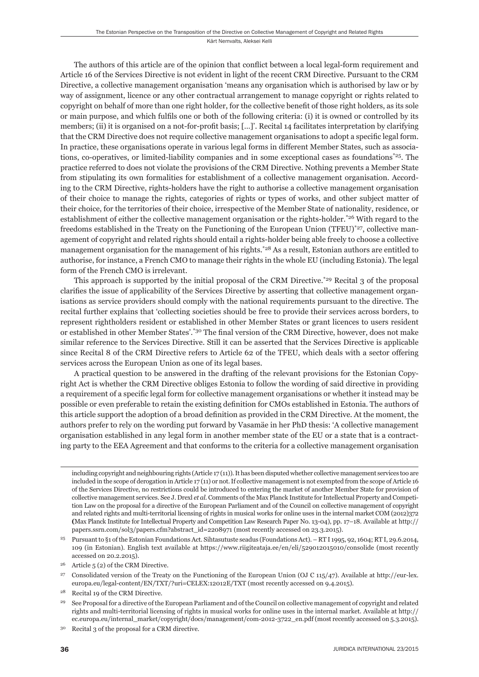#### Kärt Nemvalts, Aleksei Kelli

The authors of this article are of the opinion that conflict between a local legal-form requirement and Article 16 of the Services Directive is not evident in light of the recent CRM Directive. Pursuant to the CRM Directive, a collective management organisation 'means any organisation which is authorised by law or by way of assignment, licence or any other contractual arrangement to manage copyright or rights related to copyright on behalf of more than one right holder, for the collective benefi t of those right holders, as its sole or main purpose, and which fulfils one or both of the following criteria: (i) it is owned or controlled by its members; (ii) it is organised on a not-for-profit basis; [...]'. Recital 14 facilitates interpretation by clarifying that the CRM Directive does not require collective management organisations to adopt a specific legal form. In practice, these organisations operate in various legal forms in different Member States, such as associations, co-operatives, or limited-liability companies and in some exceptional cases as foundations\*25. The practice referred to does not violate the provisions of the CRM Directive. Nothing prevents a Member State from stipulating its own formalities for establishment of a collective management organisation. According to the CRM Directive, rights-holders have the right to authorise a collective management organisation of their choice to manage the rights, categories of rights or types of works, and other subject matter of their choice, for the territories of their choice, irrespective of the Member State of nationality, residence, or establishment of either the collective management organisation or the rights-holder.\*26 With regard to the freedoms established in the Treaty on the Functioning of the European Union (TFEU)<sup>\*27</sup>, collective management of copyright and related rights should entail a rights-holder being able freely to choose a collective management organisation for the management of his rights.<sup>\*28</sup> As a result, Estonian authors are entitled to authorise, for instance, a French CMO to manage their rights in the whole EU (including Estonia). The legal form of the French CMO is irrelevant.

This approach is supported by the initial proposal of the CRM Directive.<sup>\*29</sup> Recital 3 of the proposal clarifies the issue of applicability of the Services Directive by asserting that collective management organisations as service providers should comply with the national requirements pursuant to the directive. The recital further explains that 'collecting societies should be free to provide their services across borders, to represent rightholders resident or established in other Member States or grant licences to users resident or established in other Member States'.\*30 The final version of the CRM Directive, however, does not make similar reference to the Services Directive. Still it can be asserted that the Services Directive is applicable since Recital 8 of the CRM Directive refers to Article 62 of the TFEU, which deals with a sector offering services across the European Union as one of its legal bases.

A practical question to be answered in the drafting of the relevant provisions for the Estonian Copyright Act is whether the CRM Directive obliges Estonia to follow the wording of said directive in providing a requirement of a specifi c legal form for collective management organisations or whether it instead may be possible or even preferable to retain the existing definition for CMOs established in Estonia. The authors of this article support the adoption of a broad definition as provided in the CRM Directive. At the moment, the authors prefer to rely on the wording put forward by Vasamäe in her PhD thesis: 'A collective management organisation established in any legal form in another member state of the EU or a state that is a contracting party to the EEA Agreement and that conforms to the criteria for a collective management organisation

including copyright and neighbouring rights (Article 17 (11)). It has been disputed whether collective management services too are included in the scope of derogation in Article 17 (11) or not. If collective management is not exempted from the scope of Article 16 of the Services Directive, no restrictions could be introduced to entering the market of another Member State for provision of collective management services. See J. Drexl *et al*. Comments of the Max Planck Institute for Intellectual Property and Competition Law on the proposal for a directive of the European Parliament and of the Council on collective management of copyright and related rights and multi-territorial licensing of rights in musical works for online uses in the internal market COM (2012)372 **(**Max Planck Institute for Intellectual Property and Competition Law Research Paper No. 13-04), pp. 17–18. Available at http:// papers.ssrn.com/sol3/papers.cfm?abstract\_id=2208971 (most recently accessed on 23.3.2015).

<sup>25</sup> Pursuant to §1 of the Estonian Foundations Act. Sihtasutuste seadus (Foundations Act). – RT I 1995, 92, 1604; RT I, 29.6.2014, 109 (in Estonian). English text available at https://www.riigiteataja.ee/en/eli/529012015010/consolide (most recently accessed on 20.2.2015).

<sup>&</sup>lt;sup>26</sup> Article  $5(2)$  of the CRM Directive.

<sup>&</sup>lt;sup>27</sup> Consolidated version of the Treaty on the Functioning of the European Union (OJ C 115/47). Available at http://eur-lex. europa.eu/legal-content/EN/TXT/?uri=CELEX:12012E/TXT (most recently accessed on 9.4.2015).

<sup>28</sup> Recital 19 of the CRM Directive.

<sup>29</sup> See Proposal for a directive of the European Parliament and of the Council on collective management of copyright and related rights and multi-territorial licensing of rights in musical works for online uses in the internal market. Available at http:// ec.europa.eu/internal\_market/copyright/docs/management/com-2012-3722\_en.pdf (most recently accessed on 5.3.2015).

<sup>30</sup> Recital 3 of the proposal for a CRM directive.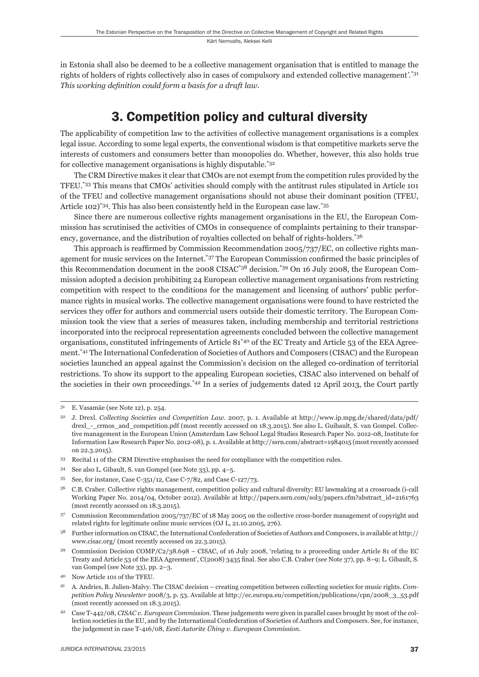in Estonia shall also be deemed to be a collective management organisation that is entitled to manage the rights of holders of rights collectively also in cases of compulsory and extended collective management*'.*\*31 *This working definition could form a basis for a draft law.* 

# 3. Competition policy and cultural diversity

The applicability of competition law to the activities of collective management organisations is a complex legal issue. According to some legal experts, the conventional wisdom is that competitive markets serve the interests of customers and consumers better than monopolies do. Whether, however, this also holds true for collective management organisations is highly disputable.\*32

The CRM Directive makes it clear that CMOs are not exempt from the competition rules provided by the TFEU.\*33 This means that CMOs' activities should comply with the antitrust rules stipulated in Article 101 of the TFEU and collective management organisations should not abuse their dominant position (TFEU, Article 102)\*34. This has also been consistently held in the European case law.\*35

Since there are numerous collective rights management organisations in the EU, the European Commission has scrutinised the activities of CMOs in consequence of complaints pertaining to their transparency, governance, and the distribution of royalties collected on behalf of rights-holders.\*36

This approach is reaffirmed by Commission Recommendation  $2005/737/EC$ , on collective rights management for music services on the Internet.<sup>\*37</sup> The European Commission confirmed the basic principles of this Recommendation document in the 2008 CISAC\*38 decision.\*39 On 16 July 2008, the European Commission adopted a decision prohibiting 24 European collective management organisations from restricting competition with respect to the conditions for the management and licensing of authors' public performance rights in musical works. The collective management organisations were found to have restricted the services they offer for authors and commercial users outside their domestic territory. The European Commission took the view that a series of measures taken, including membership and territorial restrictions incorporated into the reciprocal representation agreements concluded between the collective management organisations, constituted infringements of Article 81\*40 of the EC Treaty and Article 53 of the EEA Agreement.\*41 The International Confederation of Societies of Authors and Composers (CISAC) and the European societies launched an appeal against the Commission's decision on the alleged co-ordination of territorial restrictions. To show its support to the appealing European societies, CISAC also intervened on behalf of the societies in their own proceedings.\*42 In a series of judgements dated 12 April 2013, the Court partly

- 33 Recital 11 of the CRM Directive emphasises the need for compliance with the competition rules.
- 34 See also L. Gibault, S. van Gompel (see Note 33), pp. 4–5.
- 35 See, for instance, Case C-351/12, Case C-7/82, and Case C-127/73.

36 C.B. Craber. Collective rights management, competition policy and cultural diversity: EU lawmaking at a crossroads (i-call Working Paper No. 2014/04, October 2012). Available at http://papers.ssrn.com/sol3/papers.cfm?abstract\_id=2161763 (most recently accessed on 18.3.2015).

37 Commission Recommendation 2005/737/EC of 18 May 2005 on the collective cross-border management of copyright and related rights for legitimate online music services (OJ L, 21.10.2005, 276).

38 Further information on CISAC, the International Confederation of Societies of Authors and Composers, is available at http:// www.cisac.org/ (most recently accessed on 22.3.2015).

39 Commission Decision COMP/C2/38.698 – CISAC, of 16 July 2008, 'relating to a proceeding under Article 81 of the EC Treaty and Article 53 of the EEA Agreement', C(2008) 3435 final. See also C.B. Craber (see Note 37), pp. 8–9; L. Gibault, S. van Gompel (see Note 33), pp. 2–3.

<sup>31</sup> E. Vasamäe (see Note 12), p. 254.

<sup>32</sup> J. Drexl. *Collecting Societies and Competition Law*. 2007, p. 1. Available at http://www.ip.mpg.de/shared/data/pdf/ drexl\_-\_crmos\_and\_competition.pdf (most recently accessed on 18.3.2015). See also L. Guibault, S. van Gompel. Collective management in the European Union (Amsterdam Law School Legal Studies Research Paper No. 2012-08, Institute for Information Law Research Paper No. 2012-08), p. 1. Available at http://ssrn.com/abstract=1984015 (most recently accessed on 22.3.2015).

<sup>40</sup> Now Article 101 of the TFEU.

<sup>41</sup> A. Andries, B. Julien-Malvy. The CISAC decision – creating competition between collecting societies for music rights. *Competition Policy Newsletter* 2008/3, p. 53. Available at http://ec.europa.eu/competition/publications/cpn/2008\_3\_53.pdf (most recently accessed on 18.3.2015).

<sup>42</sup> Case T-442/08, *CISAC v. European Commission*. These judgements were given in parallel cases brought by most of the collection societies in the EU, and by the International Confederation of Societies of Authors and Composers. See, for instance, the judgement in case T-416/08, *Eesti Autorite Ühing v. European Commission*.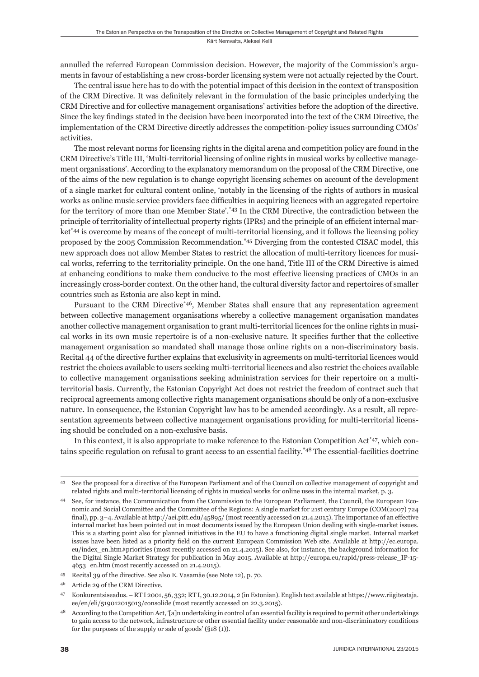Kärt Nemvalts, Aleksei Kelli

annulled the referred European Commission decision. However, the majority of the Commission's arguments in favour of establishing a new cross-border licensing system were not actually rejected by the Court.

The central issue here has to do with the potential impact of this decision in the context of transposition of the CRM Directive. It was definitely relevant in the formulation of the basic principles underlying the CRM Directive and for collective management organisations' activities before the adoption of the directive. Since the key findings stated in the decision have been incorporated into the text of the CRM Directive, the implementation of the CRM Directive directly addresses the competition-policy issues surrounding CMOs' activities.

The most relevant norms for licensing rights in the digital arena and competition policy are found in the CRM Directive's Title III, 'Multi-territorial licensing of online rights in musical works by collective management organisations'. According to the explanatory memorandum on the proposal of the CRM Directive, one of the aims of the new regulation is to change copyright licensing schemes on account of the development of a single market for cultural content online, 'notably in the licensing of the rights of authors in musical works as online music service providers face difficulties in acquiring licences with an aggregated repertoire for the territory of more than one Member State'.\*43 In the CRM Directive, the contradiction between the principle of territoriality of intellectual property rights (IPRs) and the principle of an efficient internal market\*44 is overcome by means of the concept of multi-territorial licensing, and it follows the licensing policy proposed by the 2005 Commission Recommendation.\*45 Diverging from the contested CISAC model, this new approach does not allow Member States to restrict the allocation of multi-territory licences for musical works, referring to the territoriality principle. On the one hand, Title III of the CRM Directive is aimed at enhancing conditions to make them conducive to the most effective licensing practices of CMOs in an increasingly cross-border context. On the other hand, the cultural diversity factor and repertoires of smaller countries such as Estonia are also kept in mind.

Pursuant to the CRM Directive\*46, Member States shall ensure that any representation agreement between collective management organisations whereby a collective management organisation mandates another collective management organisation to grant multi-territorial licences for the online rights in musical works in its own music repertoire is of a non-exclusive nature. It specifies further that the collective management organisation so mandated shall manage those online rights on a non-discriminatory basis. Recital 44 of the directive further explains that exclusivity in agreements on multi-territorial licences would restrict the choices available to users seeking multi-territorial licences and also restrict the choices available to collective management organisations seeking administration services for their repertoire on a multiterritorial basis. Currently, the Estonian Copyright Act does not restrict the freedom of contract such that reciprocal agreements among collective rights management organisations should be only of a non-exclusive nature. In consequence, the Estonian Copyright law has to be amended accordingly. As a result, all representation agreements between collective management organisations providing for multi-territorial licensing should be concluded on a non-exclusive basis.

In this context, it is also appropriate to make reference to the Estonian Competition Act<sup>\*47</sup>, which contains specific regulation on refusal to grant access to an essential facility.<sup>\*48</sup> The essential-facilities doctrine

See the proposal for a directive of the European Parliament and of the Council on collective management of copyright and related rights and multi-territorial licensing of rights in musical works for online uses in the internal market, p. 3.

<sup>44</sup> See, for instance, the Communication from the Commission to the European Parliament, the Council, the European Economic and Social Committee and the Committee of the Regions: A single market for 21st century Europe (COM(2007) 724 final), pp. 3–4. Available at http://aei.pitt.edu/45895/ (most recently accessed on 21.4.2015). The importance of an effective internal market has been pointed out in most documents issued by the European Union dealing with single-market issues. This is a starting point also for planned initiatives in the EU to have a functioning digital single market. Internal market issues have been listed as a priority field on the current European Commission Web site. Available at http://ec.europa. eu/index\_en.htm#priorities (most recently accessed on 21.4.2015). See also, for instance, the background information for the Digital Single Market Strategy for publication in May 2015. Available at http://europa.eu/rapid/press-release\_IP-15- 4653\_en.htm (most recently accessed on 21.4.2015).

<sup>45</sup> Recital 39 of the directive. See also E. Vasamäe (see Note 12), p. 70.

<sup>46</sup> Article 29 of the CRM Directive.

<sup>47</sup> Konkurentsiseadus. – RT I 2001, 56, 332; RT I, 30.12.2014, 2 (in Estonian). English text available at https://www.riigiteataja. ee/en/eli/519012015013/consolide (most recently accessed on 22.3.2015).

According to the Competition Act, '[a]n undertaking in control of an essential facility is required to permit other undertakings to gain access to the network, infrastructure or other essential facility under reasonable and non-discriminatory conditions for the purposes of the supply or sale of goods' (§18 (1)).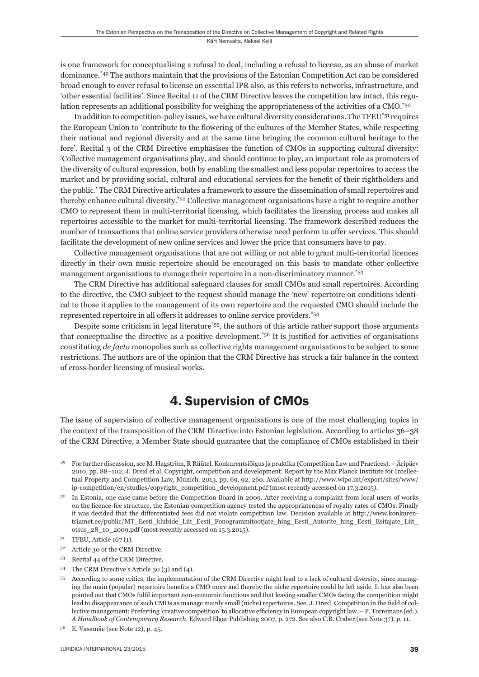Kärt Nemvalts, Aleksei Kelli

is one framework for conceptualising a refusal to deal, including a refusal to license, as an abuse of market dominance.\*49 The authors maintain that the provisions of the Estonian Competition Act can be considered broad enough to cover refusal to license an essential IPR also, as this refers to networks, infrastructure, and 'other essential facilities'. Since Recital 11 of the CRM Directive leaves the competition law intact, this regulation represents an additional possibility for weighing the appropriateness of the activities of a CMO.<sup>\*50</sup>

In addition to competition-policy issues, we have cultural diversity considerations. The TFEU\*51 requires the European Union to 'contribute to the flowering of the cultures of the Member States, while respecting their national and regional diversity and at the same time bringing the common cultural heritage to the fore'. Recital 3 of the CRM Directive emphasises the function of CMOs in supporting cultural diversity: 'Collective management organisations play, and should continue to play, an important role as promoters of the diversity of cultural expression, both by enabling the smallest and less popular repertoires to access the market and by providing social, cultural and educational services for the benefi t of their rightholders and the public.' The CRM Directive articulates a framework to assure the dissemination of small repertoires and thereby enhance cultural diversity.\*52 Collective management organisations have a right to require another CMO to represent them in multi-territorial licensing, which facilitates the licensing process and makes all repertoires accessible to the market for multi-territorial licensing. The framework described reduces the number of transactions that online service providers otherwise need perform to offer services. This should facilitate the development of new online services and lower the price that consumers have to pay.

Collective management organisations that are not willing or not able to grant multi-territorial licences directly in their own music repertoire should be encouraged on this basis to mandate other collective management organisations to manage their repertoire in a non-discriminatory manner.\*53

The CRM Directive has additional safeguard clauses for small CMOs and small repertoires. According to the directive, the CMO subject to the request should manage the 'new' repertoire on conditions identical to those it applies to the management of its own repertoire and the requested CMO should include the represented repertoire in all offers it addresses to online service providers.\*54

Despite some criticism in legal literature\*55, the authors of this article rather support those arguments that conceptualise the directive as a positive development.<sup> $*56$ </sup> It is justified for activities of organisations constituting *de facto* monopolies such as collective rights management organisations to be subject to some restrictions. The authors are of the opinion that the CRM Directive has struck a fair balance in the context of cross-border licensing of musical works.

## 4. Supervision of CMOs

The issue of supervision of collective management organisations is one of the most challenging topics in the context of the transposition of the CRM Directive into Estonian legislation. According to articles 36–38 of the CRM Directive, a Member State should guarantee that the compliance of CMOs established in their

<sup>49</sup> For further discussion, see M. Hagström, R Rüütel. Konkurentsiõigus ja praktika (Competition Law and Practices). – Äripäev 2010, pp. 88–102; J. Drexl et al. Copyright, competition and development: Report by the Max Planck Institute for Intellectual Property and Competition Law, Munich. 2013, pp. 69, 92, 260. Available at http://www.wipo.int/export/sites/www/ ip-competition/en/studies/copyright\_competition\_development.pdf (most recently accessed on 17.3.2015).

<sup>&</sup>lt;sup>50</sup> In Estonia, one case came before the Competition Board in 2009. After receiving a complaint from local users of works on the licence-fee structure, the Estonian competition agency tested the appropriateness of royalty rates of CMOs. Finally it was decided that the differentiated fees did not violate competition law. Decision available at http://www.konkurentsiamet.ee/public/MT\_Eesti\_klubide\_Liit\_Eesti\_Fonogrammitootjate\_hing\_Eesti\_Autorite\_hing\_Eesti\_Esitajate\_Liit\_ otsus\_28\_10\_2009.pdf (most recently accessed on 15.3.2015).

<sup>51</sup> TFEU, Article 167 (1).

<sup>52</sup> Article 30 of the CRM Directive.

<sup>53</sup> Recital 44 of the CRM Directive.

<sup>54</sup> The CRM Directive's Article 30 (3) and (4).

<sup>55</sup> According to some critics, the implementation of the CRM Directive might lead to a lack of cultural diversity, since managing the main (popular) repertoire benefits a CMO more and thereby the niche repertoire could be left aside. It has also been pointed out that CMOs fulfi l important non-economic functions and that leaving smaller CMOs facing the competition might lead to disappearance of such CMOs as manage mainly small (niche) repertoires. See. J. Drexl. Competition in the field of collective management: Preferring 'creative competition' to allocative efficiency in European copyright law. – P. Torremans (ed.). *A Handbook of Contemporary Research*. Edward Elgar Publishing 2007, p. 272. See also C.B. Craber (see Note 37), p. 11.

<sup>56</sup> E. Vasamäe (see Note 12), p. 45.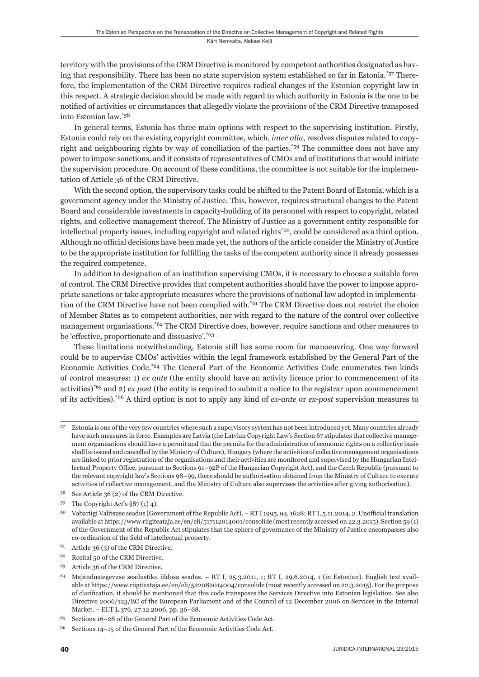territory with the provisions of the CRM Directive is monitored by competent authorities designated as having that responsibility. There has been no state supervision system established so far in Estonia.\*57 Therefore, the implementation of the CRM Directive requires radical changes of the Estonian copyright law in this respect. A strategic decision should be made with regard to which authority in Estonia is the one to be notified of activities or circumstances that allegedly violate the provisions of the CRM Directive transposed into Estonian law.\*58

In general terms, Estonia has three main options with respect to the supervising institution. Firstly, Estonia could rely on the existing copyright committee, which, *inter alia*, resolves disputes related to copyright and neighbouring rights by way of conciliation of the parties.\*59 The committee does not have any power to impose sanctions, and it consists of representatives of CMOs and of institutions that would initiate the supervision procedure. On account of these conditions, the committee is not suitable for the implementation of Article 36 of the CRM Directive.

With the second option, the supervisory tasks could be shifted to the Patent Board of Estonia, which is a government agency under the Ministry of Justice. This, however, requires structural changes to the Patent Board and considerable investments in capacity-building of its personnel with respect to copyright, related rights, and collective management thereof. The Ministry of Justice as a government entity responsible for intellectual property issues, including copyright and related rights\*60, could be considered as a third option. Although no official decisions have been made yet, the authors of the article consider the Ministry of Justice to be the appropriate institution for fulfilling the tasks of the competent authority since it already possesses the required competence.

In addition to designation of an institution supervising CMOs, it is necessary to choose a suitable form of control. The CRM Directive provides that competent authorities should have the power to impose appropriate sanctions or take appropriate measures where the provisions of national law adopted in implementation of the CRM Directive have not been complied with.\*61 The CRM Directive does not restrict the choice of Member States as to competent authorities, nor with regard to the nature of the control over collective management organisations.\*62 The CRM Directive does, however, require sanctions and other measures to be 'effective, proportionate and dissuasive'.\*63

These limitations notwithstanding, Estonia still has some room for manoeuvring. One way forward could be to supervise CMOs' activities within the legal framework established by the General Part of the Economic Activities Code.\*64 The General Part of the Economic Activities Code enumerates two kinds of control measures: 1) *ex ante* (the entity should have an activity licence prior to commencement of its activities)\*65 and 2) *ex post* (the entity is required to submit a notice to the registrar upon commencement of its activities).\*66 A third option is not to apply any kind of *ex-ante* or *ex-post* supervision measures to

<sup>57</sup> Estonia is one of the very few countries where such a supervisory system has not been introduced yet. Many countries already have such measures in force. Examples are Latvia (the Latvian Copyright Law's Section 67 stipulates that collective management organisations should have a permit and that the permits for the administration of economic rights on a collective basis shall be issued and cancelled by the Ministry of Culture), Hungary (where the activities of collective management organisations are linked to prior registration of the organisations and their activities are monitored and supervised by the Hungarian Intellectual Property Office, pursuant to Sections 91–92P of the Hungarian Copyright Act), and the Czech Republic (pursuant to the relevant copyright law's Sections 98–99, there should be authorisation obtained from the Ministry of Culture to execute activities of collective management, and the Ministry of Culture also supervises the activities after giving authorisation).

<sup>58</sup> See Article 36 (2) of the CRM Directive.

<sup>&</sup>lt;sup>59</sup> The Copyright Act's  $\S 87(1) 4$ ).

<sup>&</sup>lt;sup>60</sup> Vabariigi Valitsuse seadus (Government of the Republic Act). – RT I 1995, 94, 1628; RT I, 5.11.2014, 2. Unofficial translation available at https://www.riigiteataja.ee/en/eli/517112014001/consolide (most recently accessed on 22.3.2015). Section 59 (1) of the Government of the Republic Act stipulates that the sphere of governance of the Ministry of Justice encompasses also co-ordination of the field of intellectual property.

<sup>61</sup> Article 36 (3) of the CRM Directive.

<sup>62</sup> Recital 50 of the CRM Directive.

<sup>63</sup> Article 36 of the CRM Directive.

<sup>64</sup> Majandustegevuse seadustiku üldosa seadus. – RT I, 25.3.2011, 1; RT I, 29.6.2014, 1 (in Estonian). English text available at https://www.riigiteataja.ee/en/eli/522082014004/consolide (most recently accessed on 22.3.2015). For the purpose of clarifi cation, it should be mentioned that this code transposes the Services Directive into Estonian legislation. See also Directive 2006/123/EC of the European Parliament and of the Council of 12 December 2006 on Services in the Internal Market. – ELT L 376, 27.12.2006, pp. 36–68.

<sup>65</sup> Sections 16–28 of the General Part of the Economic Activities Code Act.

<sup>66</sup> Sections 14–15 of the General Part of the Economic Activities Code Act.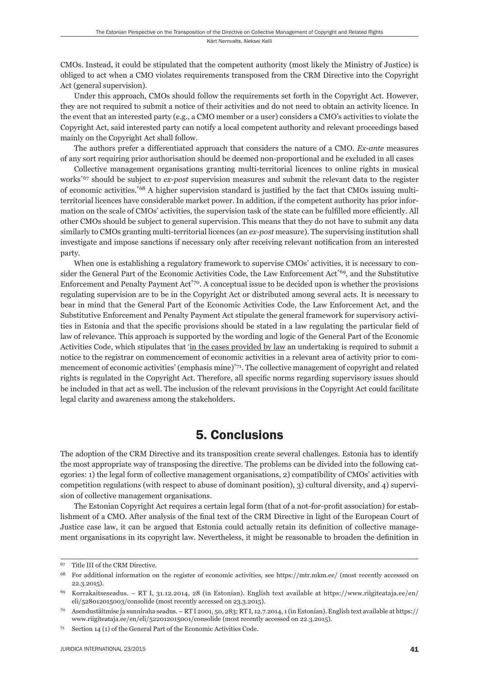CMOs. Instead, it could be stipulated that the competent authority (most likely the Ministry of Justice) is obliged to act when a CMO violates requirements transposed from the CRM Directive into the Copyright Act (general supervision).

Under this approach, CMOs should follow the requirements set forth in the Copyright Act. However, they are not required to submit a notice of their activities and do not need to obtain an activity licence. In the event that an interested party (e.g., a CMO member or a user) considers a CMO's activities to violate the Copyright Act, said interested party can notify a local competent authority and relevant proceedings based mainly on the Copyright Act shall follow.

The authors prefer a differentiated approach that considers the nature of a CMO. *Ex-ante* measures of any sort requiring prior authorisation should be deemed non-proportional and be excluded in all cases

Collective management organisations granting multi-territorial licences to online rights in musical works\*67 should be subject to *ex-post* supervision measures and submit the relevant data to the register of economic activities.<sup>\*68</sup> A higher supervision standard is justified by the fact that CMOs issuing multiterritorial licences have considerable market power. In addition, if the competent authority has prior information on the scale of CMOs' activities, the supervision task of the state can be fulfilled more efficiently. All other CMOs should be subject to general supervision. This means that they do not have to submit any data similarly to CMOs granting multi-territorial licences (an *ex-post* measure). The supervising institution shall investigate and impose sanctions if necessary only after receiving relevant notification from an interested party.

When one is establishing a regulatory framework to supervise CMOs' activities, it is necessary to consider the General Part of the Economic Activities Code, the Law Enforcement Act<sup>\*69</sup>, and the Substitutive Enforcement and Penalty Payment Act\*70. A conceptual issue to be decided upon is whether the provisions regulating supervision are to be in the Copyright Act or distributed among several acts. It is necessary to bear in mind that the General Part of the Economic Activities Code, the Law Enforcement Act, and the Substitutive Enforcement and Penalty Payment Act stipulate the general framework for supervisory activities in Estonia and that the specific provisions should be stated in a law regulating the particular field of law of relevance. This approach is supported by the wording and logic of the General Part of the Economic Activities Code, which stipulates that 'in the cases provided by law an undertaking is required to submit a notice to the registrar on commencement of economic activities in a relevant area of activity prior to commencement of economic activities' (emphasis mine)\*71. The collective management of copyright and related rights is regulated in the Copyright Act. Therefore, all specific norms regarding supervisory issues should be included in that act as well. The inclusion of the relevant provisions in the Copyright Act could facilitate legal clarity and awareness among the stakeholders.

### 5. Conclusions

The adoption of the CRM Directive and its transposition create several challenges. Estonia has to identify the most appropriate way of transposing the directive. The problems can be divided into the following categories: 1) the legal form of collective management organisations, 2) compatibility of CMOs' activities with competition regulations (with respect to abuse of dominant position), 3) cultural diversity, and 4) supervision of collective management organisations.

The Estonian Copyright Act requires a certain legal form (that of a not-for-profi t association) for establishment of a CMO. After analysis of the final text of the CRM Directive in light of the European Court of Justice case law, it can be argued that Estonia could actually retain its definition of collective management organisations in its copyright law. Nevertheless, it might be reasonable to broaden the definition in

<sup>67</sup> Title III of the CRM Directive.

<sup>68</sup> For additional information on the register of economic activities, see https://mtr.mkm.ee/ (most recently accessed on 22.3.2015).

<sup>69</sup> Korrakaitseseadus. – RT I, 31.12.2014, 28 (in Estonian). English text available at https://www.riigiteataja.ee/en/ eli/528012015003/consolide (most recently accessed on 23.3.2015).

<sup>70</sup> Asendustäitmise ja sunniraha seadus. – RT I 2001, 50, 283; RT I, 12.7.2014, 1 (in Estonian). English text available at https:// www.riigiteataja.ee/en/eli/522012015001/consolide (most recently accessed on 22.3.2015).

 $71$  Section 14 (1) of the General Part of the Economic Activities Code.